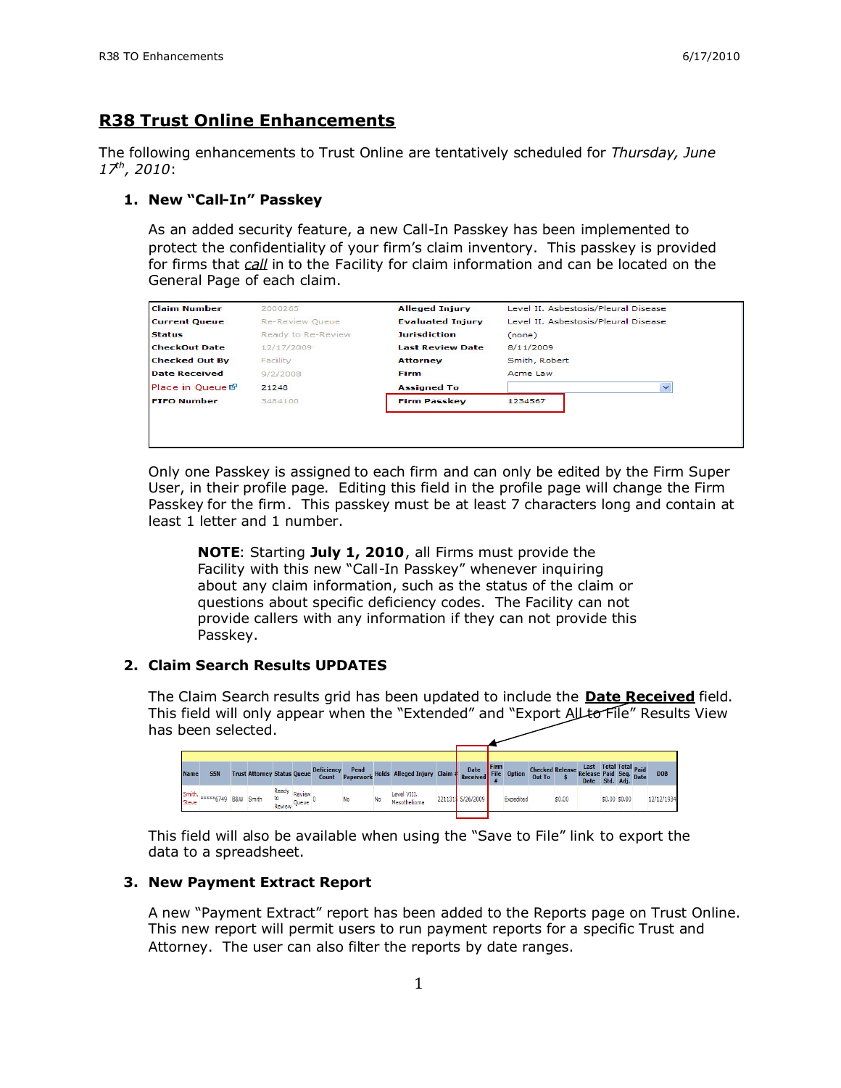## **R38 Trust Online Enhancements**

The following enhancements to Trust Online are tentatively scheduled for *Thursday, June 17th, 2010*:

### **1. New "Call-In" Passkey**

As an added security feature, a new Call-In Passkey has been implemented to protect the confidentiality of your firm's claim inventory. This passkey is provided for firms that *call* in to the Facility for claim information and can be located on the General Page of each claim.

| <b>Claim Number</b>   | 2000265                | <b>Alleged Injury</b>   | Level II, Asbestosis/Pleural Disease |
|-----------------------|------------------------|-------------------------|--------------------------------------|
| <b>Current Queue</b>  | <b>Re-Review Queue</b> | <b>Evaluated Injury</b> | Level II. Asbestosis/Pleural Disease |
| <b>Status</b>         | Ready to Re-Review     | <b>Jurisdiction</b>     | (none)                               |
| <b>CheckOut Date</b>  | 12/17/2009             | <b>Last Review Date</b> | 8/11/2009                            |
| <b>Checked Out By</b> | Facility               | <b>Attorney</b>         | Smith, Robert                        |
| <b>Date Received</b>  | 9/2/2008               | Firm                    | Acme Law                             |
| Place in Queue &      | 21248                  | <b>Assigned To</b>      | $\checkmark$                         |
| <b>FIFO Number</b>    | 3484100                | <b>Firm Passkey</b>     | 1234567                              |

Only one Passkey is assigned to each firm and can only be edited by the Firm Super User, in their profile page. Editing this field in the profile page will change the Firm Passkey for the firm. This passkey must be at least 7 characters long and contain at least 1 letter and 1 number.

**NOTE**: Starting **July 1, 2010**, all Firms must provide the Facility with this new "Call-In Passkey" whenever inquiring about any claim information, such as the status of the claim or questions about specific deficiency codes. The Facility can not provide callers with any information if they can not provide this Passkey.

### **2. Claim Search Results UPDATES**

The Claim Search results grid has been updated to include the **Date Received** field. This field will only appear when the "Extended" and "Export All to File" Results View has been selected.

| <b>Name</b> | <b>SSN</b>                                                                                                                                                                                                                                                                                                             |  | <b>Trust Attorney Status Oueue</b> |                       |        | <b>Deficiency</b><br>Count |    |    | Pend<br>Paperwork Holds Alleged Injury Claim & Received |  |                   | Firm | File Option | Checked Release Last Total Total Paid<br>Out To \$ Release Paid Seq. Date<br>Date Std. Adj. Date |        |  |               | DOB        |
|-------------|------------------------------------------------------------------------------------------------------------------------------------------------------------------------------------------------------------------------------------------------------------------------------------------------------------------------|--|------------------------------------|-----------------------|--------|----------------------------|----|----|---------------------------------------------------------|--|-------------------|------|-------------|--------------------------------------------------------------------------------------------------|--------|--|---------------|------------|
| Steve       | $\frac{1}{2}$ Smith, $\frac{1}{2}$ $\frac{1}{2}$ $\frac{1}{2}$ $\frac{1}{2}$ $\frac{1}{2}$ $\frac{1}{2}$ $\frac{1}{2}$ $\frac{1}{2}$ $\frac{1}{2}$ $\frac{1}{2}$ $\frac{1}{2}$ $\frac{1}{2}$ $\frac{1}{2}$ $\frac{1}{2}$ $\frac{1}{2}$ $\frac{1}{2}$ $\frac{1}{2}$ $\frac{1}{2}$ $\frac{1}{2}$ $\frac{1}{2}$ $\frac{1$ |  | Smith                              | Ready<br>Review Queue | Review |                            | No | No | Level VIII.<br>Mesothelioma                             |  | 2211315 5/26/2009 |      | Expedited   |                                                                                                  | \$0.00 |  | \$0.00 \$0.00 | 12/12/1934 |

This field will also be available when using the "Save to File" link to export the data to a spreadsheet.

#### **3. New Payment Extract Report**

A new "Payment Extract" report has been added to the Reports page on Trust Online. This new report will permit users to run payment reports for a specific Trust and Attorney. The user can also filter the reports by date ranges.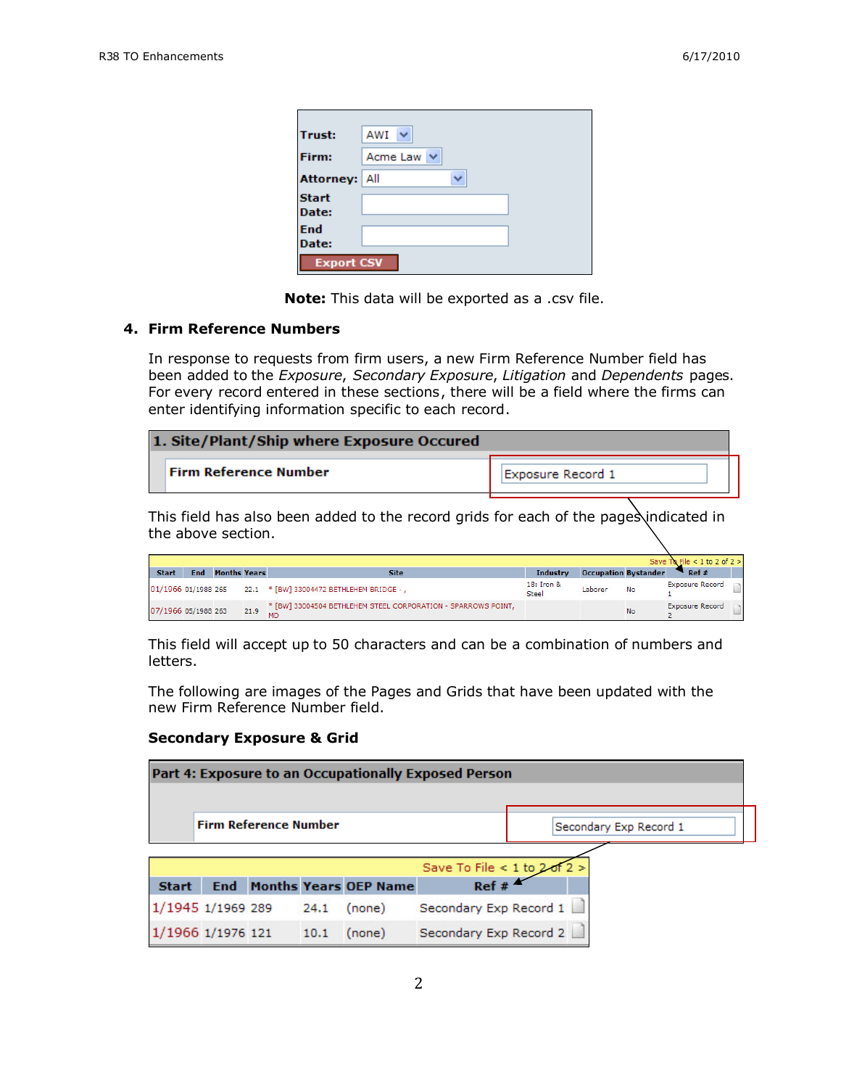| <b>Trust:</b>        | AWI             |
|----------------------|-----------------|
| Firm:                | Acme Law $\vee$ |
| <b>Attorney: All</b> | $\checkmark$    |
| <b>Start</b>         |                 |
| Date:                |                 |
| End                  |                 |
| Date:                |                 |
| <b>Export CSV</b>    |                 |

**Note:** This data will be exported as a .csv file.

### **4. Firm Reference Numbers**

In response to requests from firm users, a new Firm Reference Number field has been added to the *Exposure*, *Secondary Exposure*, *Litigation* and *Dependents* pages. For every record entered in these sections, there will be a field where the firms can enter identifying information specific to each record.

| 1. Site/Plant/Ship where Exposure Occured |                   |  |  |  |  |  |
|-------------------------------------------|-------------------|--|--|--|--|--|
| <b>Firm Reference Number</b>              | Exposure Record 1 |  |  |  |  |  |

This field has also been added to the record grids for each of the pages indicated in the above section.

|                     |            |                     |      |                                                               |                            |                             |    | Save To File < 1 to 2 of $2 > 1$ |  |
|---------------------|------------|---------------------|------|---------------------------------------------------------------|----------------------------|-----------------------------|----|----------------------------------|--|
| <b>Start</b>        | <b>End</b> | <b>Months Years</b> |      | <b>Site</b>                                                   | <b>Industry</b>            | <b>Occupation Bystander</b> |    | Ref#                             |  |
|                     |            |                     |      | 01/1966 01/1988 265 22.1 * [BW] 33004472 BETHLEHEM BRIDGE - , | 18: Iron &<br><b>Steel</b> | Laborer                     | No | <b>Exposure Record</b>           |  |
| 07/1966 05/1988 263 |            |                     | 21.9 | * [BW] 33004504 BETHLEHEM STEEL CORPORATION - SPARROWS POINT, |                            |                             | No | <b>Exposure Record</b>           |  |

This field will accept up to 50 characters and can be a combination of numbers and letters.

The following are images of the Pages and Grids that have been updated with the new Firm Reference Number field.

#### **Secondary Exposure & Grid**

|                   |                              |      |                                  | Part 4: Exposure to an Occupationally Exposed Person |                        |
|-------------------|------------------------------|------|----------------------------------|------------------------------------------------------|------------------------|
|                   | <b>Firm Reference Number</b> |      |                                  |                                                      | Secondary Exp Record 1 |
|                   |                              |      |                                  | Save To File < 1 to 2 of 2 >                         |                        |
| <b>Start</b>      |                              |      | <b>End Months Years OEP Name</b> | Ref#                                                 |                        |
| 1/1945 1/1969 289 |                              | 24.1 | (none)                           | Secondary Exp Record 1                               |                        |
| 1/1966 1/1976 121 |                              | 10.1 | (none)                           | Secondary Exp Record 2                               |                        |